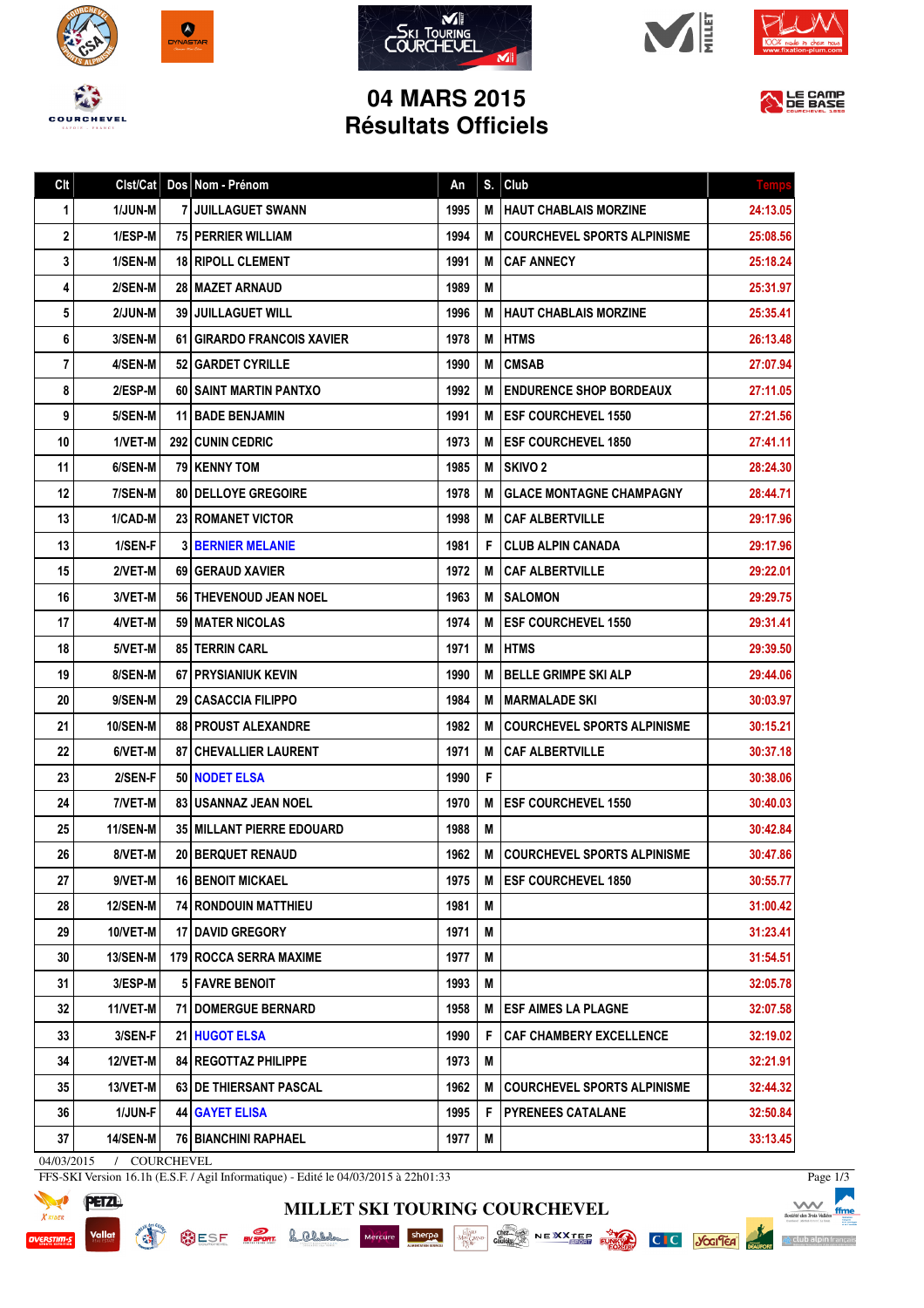









## **04 MARS 2015 Résultats Officiels**

|  | LE CAMP |  |
|--|---------|--|
|  | DE BASE |  |

| Clt                        | Clst/Cat        |  | Dos Nom - Prénom                   | An   | S. | Club                               | <b>Temp</b> |
|----------------------------|-----------------|--|------------------------------------|------|----|------------------------------------|-------------|
| 1                          | 1/JUN-M         |  | <b>7 JUILLAGUET SWANN</b>          | 1995 | M  | <b>HAUT CHABLAIS MORZINE</b>       | 24:13.05    |
| 2                          | 1/ESP-M         |  | <b>75 PERRIER WILLIAM</b>          | 1994 | М  | <b>COURCHEVEL SPORTS ALPINISME</b> | 25:08.56    |
| 3                          | 1/SEN-M         |  | <b>18 RIPOLL CLEMENT</b>           | 1991 | М  | <b>CAF ANNECY</b>                  | 25:18.24    |
| 4                          | 2/SEN-M         |  | 28 MAZET ARNAUD                    | 1989 | М  |                                    | 25:31.97    |
| 5                          | 2/JUN-M         |  | <b>39 JUILLAGUET WILL</b>          | 1996 | м  | <b>HAUT CHABLAIS MORZINE</b>       | 25:35.41    |
| 6                          | 3/SEN-M         |  | <b>61 GIRARDO FRANCOIS XAVIER</b>  | 1978 | М  | <b>HTMS</b>                        | 26:13.48    |
| 7                          | 4/SEN-M         |  | 52   GARDET CYRILLE                | 1990 | М  | <b>CMSAB</b>                       | 27:07.94    |
| 8                          | 2/ESP-M         |  | <b>60 SAINT MARTIN PANTXO</b>      | 1992 | М  | <b>ENDURENCE SHOP BORDEAUX</b>     | 27:11.05    |
| 9                          | 5/SEN-M         |  | <b>11   BADE BENJAMIN</b>          | 1991 | М  | <b>IESF COURCHEVEL 1550</b>        | 27:21.56    |
| 10                         | 1/VET-M         |  | 292 CUNIN CEDRIC                   | 1973 | М  | <b>ESF COURCHEVEL 1850</b>         | 27:41.11    |
| 11                         | 6/SEN-M         |  | <b>79   KENNY TOM</b>              | 1985 | M  | <b>SKIVO 2</b>                     | 28:24.30    |
| 12                         | 7/SEN-M         |  | <b>80   DELLOYE GREGOIRE</b>       | 1978 | М  | <b>GLACE MONTAGNE CHAMPAGNY</b>    | 28:44.71    |
| 13                         | 1/CAD-M         |  | 23 ROMANET VICTOR                  | 1998 | M  | <b>CAF ALBERTVILLE</b>             | 29:17.96    |
| 13                         | 1/SEN-F         |  | <b>3 BERNIER MELANIE</b>           | 1981 | F. | CLUB ALPIN CANADA                  | 29:17.96    |
| 15                         | 2/VET-M         |  | 69 GERAUD XAVIER                   | 1972 | М  | <b>CAF ALBERTVILLE</b>             | 29:22.01    |
| 16                         | 3/VET-M         |  | 56 THEVENOUD JEAN NOEL             | 1963 | M  | <b>SALOMON</b>                     | 29:29.75    |
| 17                         | 4/VET-M         |  | 59   MATER NICOLAS                 | 1974 | М  | <b>ESF COURCHEVEL 1550</b>         | 29:31.41    |
| 18                         | 5/VET-M         |  | <b>85   TERRIN CARL</b>            | 1971 | Μ  | <b>HTMS</b>                        | 29:39.50    |
| 19                         | 8/SEN-M         |  | <b>67 I PRYSIANIUK KEVIN</b>       | 1990 | М  | <b>BELLE GRIMPE SKI ALP</b>        | 29:44.06    |
| 20                         | 9/SEN-M         |  | <b>29   CASACCIA FILIPPO</b>       | 1984 | М  | MARMALADE SKI                      | 30:03.97    |
| 21                         | <b>10/SEN-M</b> |  | <b>88   PROUST ALEXANDRE</b>       | 1982 | М  | <b>COURCHEVEL SPORTS ALPINISME</b> | 30:15.21    |
| 22                         | 6/VET-M         |  | <b>87   CHEVALLIER LAURENT</b>     | 1971 | M  | <b>CAF ALBERTVILLE</b>             | 30:37.18    |
| 23                         | 2/SEN-F         |  | 50 NODET ELSA                      | 1990 | F  |                                    | 30:38.06    |
| 24                         | 7/VET-M         |  | <b>83   USANNAZ JEAN NOEL</b>      | 1970 | М  | <b>ESF COURCHEVEL 1550</b>         | 30:40.03    |
| 25                         | <b>11/SEN-M</b> |  | <b>35   MILLANT PIERRE EDOUARD</b> | 1988 | Μ  |                                    | 30:42.84    |
| 26                         | 8/VET-M         |  | <b>20 BERQUET RENAUD</b>           | 1962 | M  | COURCHEVEL SPORTS ALPINISME        | 30:47.86    |
| 27                         | 9/VET-M         |  | <b>16 BENOIT MICKAEL</b>           | 1975 | M  | <b>ESF COURCHEVEL 1850</b>         | 30:55.77    |
| 28                         | <b>12/SEN-M</b> |  | <b>74 RONDOUIN MATTHIEU</b>        | 1981 | M  |                                    | 31:00.42    |
| 29                         | 10/VET-M        |  | <b>17 I DAVID GREGORY</b>          | 1971 | М  |                                    | 31:23.41    |
| 30                         | <b>13/SEN-M</b> |  | 179 ROCCA SERRA MAXIME             | 1977 | M  |                                    | 31:54.51    |
| 31                         | 3/ESP-M         |  | 5 FAVRE BENOIT                     | 1993 | M  |                                    | 32:05.78    |
| 32                         | 11/VET-M        |  | 71 DOMERGUE BERNARD                | 1958 | Μ  | <b>ESF AIMES LA PLAGNE</b>         | 32:07.58    |
| 33                         | 3/SEN-F         |  | 21 HUGOT ELSA                      | 1990 | F  | <b>CAF CHAMBERY EXCELLENCE</b>     | 32:19.02    |
| 34                         | 12/VET-M        |  | 84 REGOTTAZ PHILIPPE               | 1973 | M  |                                    | 32:21.91    |
| 35                         | 13/VET-M        |  | 63 DE THIERSANT PASCAL             | 1962 | M  | <b>COURCHEVEL SPORTS ALPINISME</b> | 32:44.32    |
| 36                         | 1/JUN-F         |  | 44 GAYET ELISA                     | 1995 | F. | <b>PYRENEES CATALANE</b>           | 32:50.84    |
| 37                         | <b>14/SEN-M</b> |  | 76 BIANCHINI RAPHAEL               | 1977 | Μ  |                                    | 33:13.45    |
| 04/03/2015<br>/ COURCHEVEL |                 |  |                                    |      |    |                                    |             |

**MILLET SKI TOURING COURCHEVEL**

FFS-SKI Version 16.1h (E.S.F. / Agil Informatique) - Edité le 04/03/2015 à 22h01:33

**READ** 



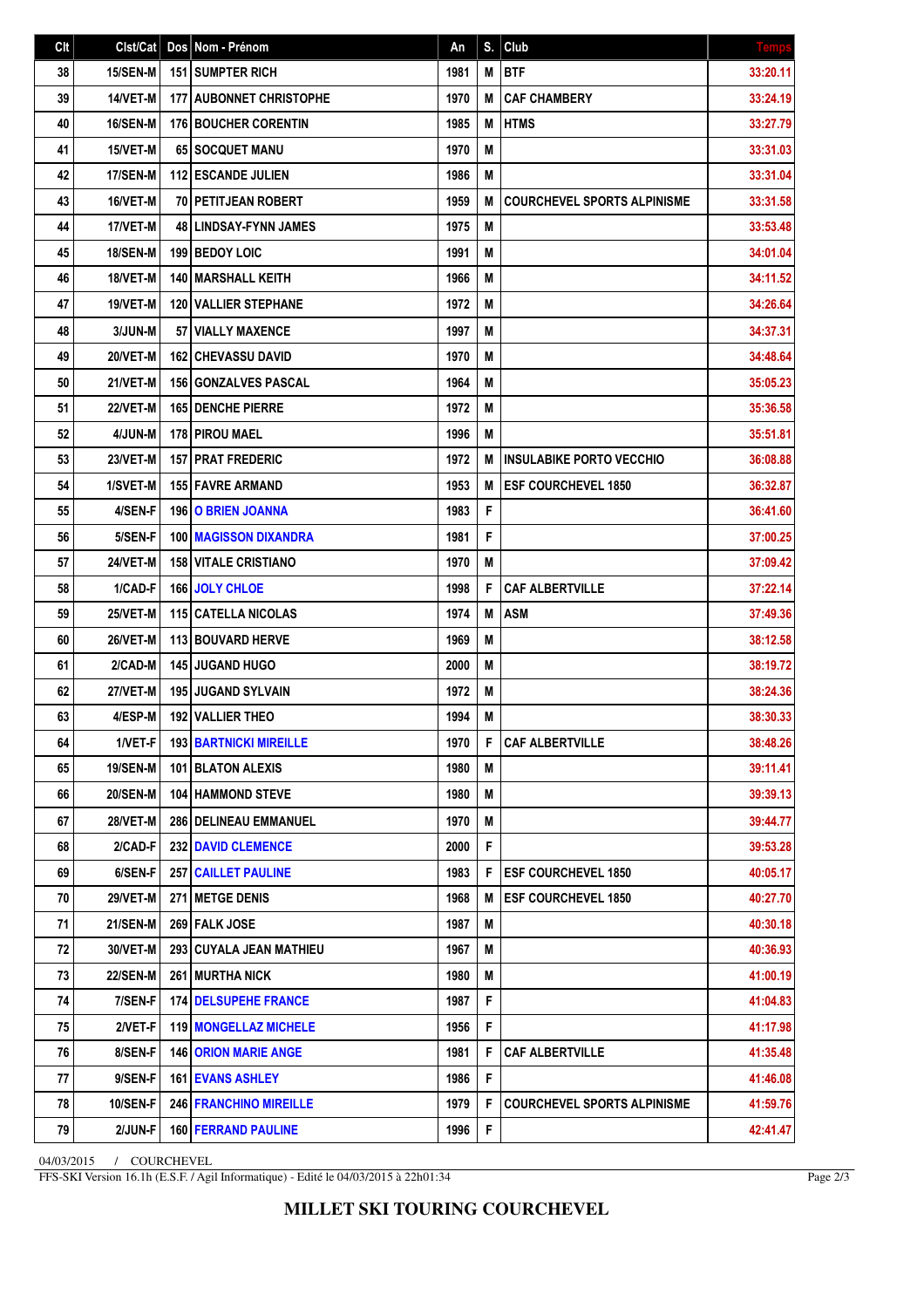| Clt | Clst/Cat        | Dos Nom - Prénom                 | An   | S. | Club                               | <b>Temps</b> |
|-----|-----------------|----------------------------------|------|----|------------------------------------|--------------|
| 38  | 15/SEN-M        | 151 SUMPTER RICH                 | 1981 | M  | <b>BTF</b>                         | 33:20.11     |
| 39  | 14/VET-M        | <b>177   AUBONNET CHRISTOPHE</b> | 1970 | M  | <b>CAF CHAMBERY</b>                | 33:24.19     |
| 40  | <b>16/SEN-M</b> | <b>176 BOUCHER CORENTIN</b>      | 1985 | M  | <b>HTMS</b>                        | 33:27.79     |
| 41  | 15/VET-M        | 65 SOCQUET MANU                  | 1970 | M  |                                    | 33:31.03     |
| 42  | 17/SEN-M        | <b>112 ESCANDE JULIEN</b>        | 1986 | M  |                                    | 33:31.04     |
| 43  | 16/VET-M        | 70 PETITJEAN ROBERT              | 1959 | M  | <b>COURCHEVEL SPORTS ALPINISME</b> | 33:31.58     |
| 44  | 17/VET-M        | <b>48 LINDSAY-FYNN JAMES</b>     | 1975 | M  |                                    | 33:53.48     |
| 45  | <b>18/SEN-M</b> | 199 BEDOY LOIC                   | 1991 | Μ  |                                    | 34:01.04     |
| 46  | 18/VET-M        | 140 MARSHALL KEITH               | 1966 | M  |                                    | 34:11.52     |
| 47  | 19/VET-M        | <b>120 VALLIER STEPHANE</b>      | 1972 | M  |                                    | 34:26.64     |
| 48  | 3/JUN-M         | <b>57 VIALLY MAXENCE</b>         | 1997 | M  |                                    | 34:37.31     |
| 49  | 20/VET-M        | <b>162 CHEVASSU DAVID</b>        | 1970 | M  |                                    | 34:48.64     |
| 50  | 21/VET-M        | <b>156   GONZALVES PASCAL</b>    | 1964 | Μ  |                                    | 35:05.23     |
| 51  | 22/VET-M        | <b>165 DENCHE PIERRE</b>         | 1972 | M  |                                    | 35:36.58     |
| 52  | 4/JUN-M         | <b>178 PIROU MAEL</b>            | 1996 | Μ  |                                    | 35:51.81     |
| 53  | 23/VET-M        | <b>157 PRAT FREDERIC</b>         | 1972 | M  | <b>INSULABIKE PORTO VECCHIO</b>    | 36:08.88     |
| 54  | 1/SVET-M        | 155 FAVRE ARMAND                 | 1953 | M  | <b>ESF COURCHEVEL 1850</b>         | 36:32.87     |
| 55  | 4/SEN-F         | 196 O BRIEN JOANNA               | 1983 | F  |                                    | 36:41.60     |
| 56  | 5/SEN-F         | <b>100   MAGISSON DIXANDRA</b>   | 1981 | F  |                                    | 37:00.25     |
| 57  | 24/VET-M        | <b>158 VITALE CRISTIANO</b>      | 1970 | M  |                                    | 37:09.42     |
| 58  | 1/CAD-F         | 166 JOLY CHLOE                   | 1998 | F  | <b>CAF ALBERTVILLE</b>             | 37:22.14     |
| 59  | 25/VET-M        | 115 CATELLA NICOLAS              | 1974 | M  | <b>ASM</b>                         | 37:49.36     |
| 60  | 26/VET-M        | <b>113 BOUVARD HERVE</b>         | 1969 | M  |                                    | 38:12.58     |
| 61  | 2/CAD-M         | <b>145 JUGAND HUGO</b>           | 2000 | M  |                                    | 38:19.72     |
| 62  | 27/VET-M        | 195 JUGAND SYLVAIN               | 1972 | M  |                                    | 38:24.36     |
| 63  | 4/ESP-M         | 192 VALLIER THEO                 | 1994 | M  |                                    | 38:30.33     |
| 64  | 1/VET-F         | <b>193 BARTNICKI MIREILLE</b>    | 1970 | F  | <b>CAF ALBERTVILLE</b>             | 38:48.26     |
| 65  | 19/SEN-M        | 101 BLATON ALEXIS                | 1980 | M  |                                    | 39:11.41     |
| 66  | <b>20/SEN-M</b> | <b>104 HAMMOND STEVE</b>         | 1980 | M  |                                    | 39:39.13     |
| 67  | <b>28/VET-M</b> | <b>286   DELINEAU EMMANUEL</b>   | 1970 | M  |                                    | 39:44.77     |
| 68  | 2/CAD-F         | 232 DAVID CLEMENCE               | 2000 | F  |                                    | 39:53.28     |
| 69  | 6/SEN-F         | <b>257 CAILLET PAULINE</b>       | 1983 | F  | <b>ESF COURCHEVEL 1850</b>         | 40:05.17     |
| 70  | <b>29/VET-M</b> | <b>271 METGE DENIS</b>           | 1968 | M  | <b>ESF COURCHEVEL 1850</b>         | 40:27.70     |
| 71  | <b>21/SEN-M</b> | 269 FALK JOSE                    | 1987 | M  |                                    | 40:30.18     |
| 72  | 30/VET-M        | 293 CUYALA JEAN MATHIEU          | 1967 | M  |                                    | 40:36.93     |
| 73  | <b>22/SEN-M</b> | <b>261 MURTHA NICK</b>           | 1980 | M  |                                    | 41:00.19     |
| 74  | 7/SEN-F         | <b>174 DELSUPEHE FRANCE</b>      | 1987 | F  |                                    | 41:04.83     |
| 75  | 2/VET-F         | 119 MONGELLAZ MICHELE            | 1956 | F  |                                    | 41:17.98     |
| 76  | 8/SEN-F         | <b>146 ORION MARIE ANGE</b>      | 1981 | F  | <b>CAF ALBERTVILLE</b>             | 41:35.48     |
| 77  | 9/SEN-F         | 161 EVANS ASHLEY                 | 1986 | F  |                                    | 41:46.08     |
| 78  | 10/SEN-F        | <b>246 FRANCHINO MIREILLE</b>    | 1979 | F  | <b>COURCHEVEL SPORTS ALPINISME</b> | 41:59.76     |
| 79  | 2/JUN-F         | 160 FERRAND PAULINE              | 1996 | F  |                                    | 42:41.47     |

04/03/2015 / COURCHEVEL

FFS-SKI Version 16.1h (E.S.F. / Agil Informatique) - Edité le 04/03/2015 à 22h01:34

Page 2/3